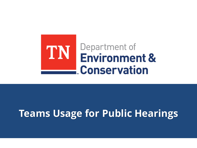

# **Teams Usage for Public Hearings**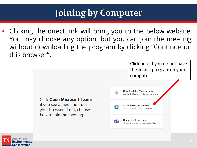# **Joining by Computer**

Clicking the direct link will bring you to the below website. You may choose any option, but you can join the meeting without downloading the program by clicking "Continue on this browser".



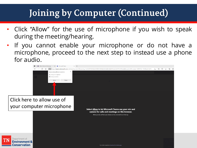### **Joining by Computer (Continued)**

- Click "Allow" for the use of microphone if you wish to speak during the meeting/hearing.
- If you cannot enable your microphone or do not have a microphone, proceed to the next step to instead use a phone for audio.



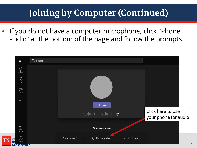# **Joining by Computer (Continued)**

If you do not have a computer microphone, click "Phone" audio" at the bottom of the page and follow the prompts.

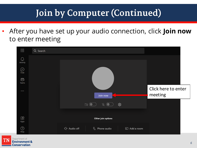# **Join by Computer (Continued)**

• After you have set up your audio connection, click **Join now**  to enter meeting



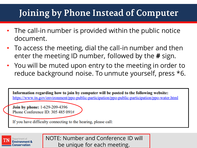#### Joining by Phone Instead of Computer

- The call-in number is provided within the public notice document.
- To access the meeting, dial the call-in number and then enter the meeting ID number, followed by the **#** sign.
- You will be muted upon entry to the meeting in order to reduce background noise. To unmute yourself, press \*6.

Information regarding how to join by computer will be posted to the following website: https://www.tn.gov/environment/ppo-public-participation/ppo-public-participation/ppo-water.html

Join by phone: 1-629-209-4396 Phone Conference ID: 305 485 091#

If you have difficulty connecting to the hearing, please call:

Conservation

NOTE: Number and Conference ID will be unique for each meeting.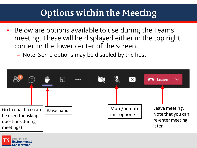#### **Options within the Meeting**

- Below are options available to use during the Teams meeting. These will be displayed either in the top right corner or the lower center of the screen.
	- Note: Some options may be disabled by the host.



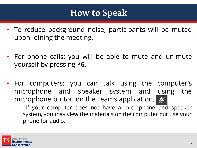#### **How to Speak**

- To reduce background noise, participants will be muted upon joining the meeting.
- For phone calls: you will be able to mute and un-mute yourself by pressing **\*6**.
- For computers: you can talk using the computer's microphone and speaker system and using the microphone button on the Teams application.  $\mathscr{L}$ 
	- If your computer does not have a microphone and speaker system, you may view the materials on the computer but use your phone for audio.